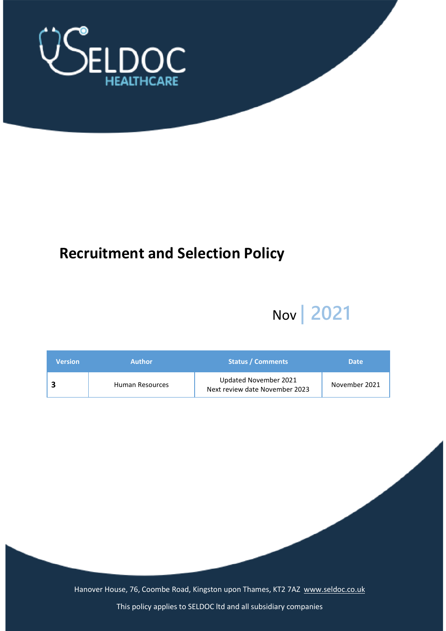

# **Recruitment and Selection Policy**

# Nov **| 2021**

| <b>Version</b> | <b>Author</b>   | <b>Status / Comments</b>                                | <b>Date</b>   |
|----------------|-----------------|---------------------------------------------------------|---------------|
|                | Human Resources | Updated November 2021<br>Next review date November 2023 | November 2021 |

Hanover House, 76, Coombe Road, Kingston upon Thames, KT2 7AZ [www.seldoc.co.uk](http://www.seldoc.co.uk/)

This policy applies to SELDOC ltd and all subsidiary companies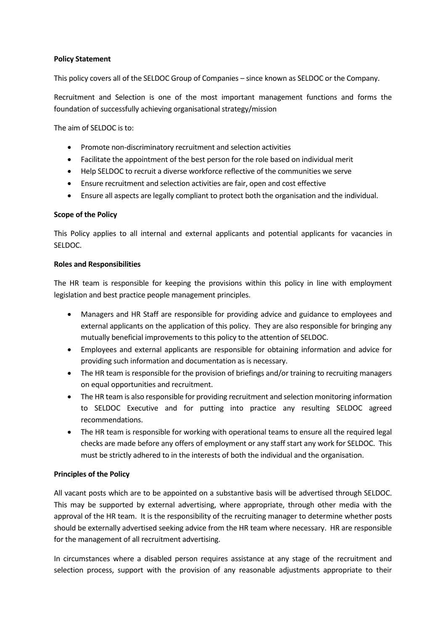#### **Policy Statement**

This policy covers all of the SELDOC Group of Companies – since known as SELDOC or the Company.

Recruitment and Selection is one of the most important management functions and forms the foundation of successfully achieving organisational strategy/mission

The aim of SELDOC is to:

- Promote non-discriminatory recruitment and selection activities
- Facilitate the appointment of the best person for the role based on individual merit
- Help SELDOC to recruit a diverse workforce reflective of the communities we serve
- Ensure recruitment and selection activities are fair, open and cost effective
- Ensure all aspects are legally compliant to protect both the organisation and the individual.

#### **Scope of the Policy**

This Policy applies to all internal and external applicants and potential applicants for vacancies in SELDOC.

#### **Roles and Responsibilities**

The HR team is responsible for keeping the provisions within this policy in line with employment legislation and best practice people management principles.

- Managers and HR Staff are responsible for providing advice and guidance to employees and external applicants on the application of this policy. They are also responsible for bringing any mutually beneficial improvements to this policy to the attention of SELDOC.
- Employees and external applicants are responsible for obtaining information and advice for providing such information and documentation as is necessary.
- The HR team is responsible for the provision of briefings and/or training to recruiting managers on equal opportunities and recruitment.
- The HR team is also responsible for providing recruitment and selection monitoring information to SELDOC Executive and for putting into practice any resulting SELDOC agreed recommendations.
- The HR team is responsible for working with operational teams to ensure all the required legal checks are made before any offers of employment or any staff start any work for SELDOC. This must be strictly adhered to in the interests of both the individual and the organisation.

#### **Principles of the Policy**

All vacant posts which are to be appointed on a substantive basis will be advertised through SELDOC. This may be supported by external advertising, where appropriate, through other media with the approval of the HR team. It is the responsibility of the recruiting manager to determine whether posts should be externally advertised seeking advice from the HR team where necessary. HR are responsible for the management of all recruitment advertising.

In circumstances where a disabled person requires assistance at any stage of the recruitment and selection process, support with the provision of any reasonable adjustments appropriate to their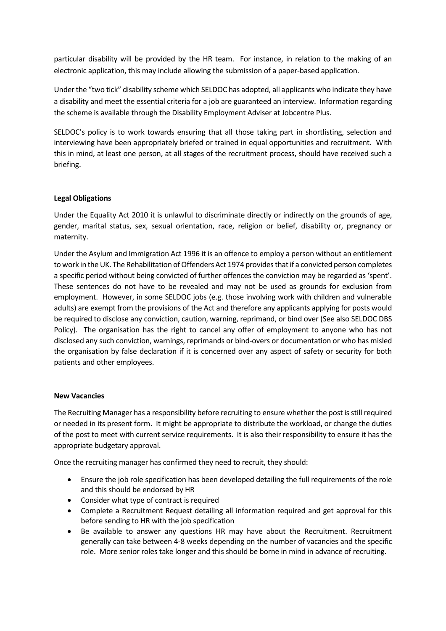particular disability will be provided by the HR team. For instance, in relation to the making of an electronic application, this may include allowing the submission of a paper-based application.

Under the "two tick" disability scheme which SELDOC has adopted, all applicants who indicate they have a disability and meet the essential criteria for a job are guaranteed an interview. Information regarding the scheme is available through the Disability Employment Adviser at Jobcentre Plus.

SELDOC's policy is to work towards ensuring that all those taking part in shortlisting, selection and interviewing have been appropriately briefed or trained in equal opportunities and recruitment. With this in mind, at least one person, at all stages of the recruitment process, should have received such a briefing.

# **Legal Obligations**

Under the Equality Act 2010 it is unlawful to discriminate directly or indirectly on the grounds of age, gender, marital status, sex, sexual orientation, race, religion or belief, disability or, pregnancy or maternity.

Under the Asylum and Immigration Act 1996 it is an offence to employ a person without an entitlement to work in the UK. The Rehabilitation of Offenders Act 1974 provides that if a convicted person completes a specific period without being convicted of further offences the conviction may be regarded as 'spent'. These sentences do not have to be revealed and may not be used as grounds for exclusion from employment. However, in some SELDOC jobs (e.g. those involving work with children and vulnerable adults) are exempt from the provisions of the Act and therefore any applicants applying for posts would be required to disclose any conviction, caution, warning, reprimand, or bind over (See also SELDOC DBS Policy). The organisation has the right to cancel any offer of employment to anyone who has not disclosed any such conviction, warnings, reprimands or bind-overs or documentation or who has misled the organisation by false declaration if it is concerned over any aspect of safety or security for both patients and other employees.

#### **New Vacancies**

The Recruiting Manager has a responsibility before recruiting to ensure whether the post is still required or needed in its present form. It might be appropriate to distribute the workload, or change the duties of the post to meet with current service requirements. It is also their responsibility to ensure it has the appropriate budgetary approval.

Once the recruiting manager has confirmed they need to recruit, they should:

- Ensure the job role specification has been developed detailing the full requirements of the role and this should be endorsed by HR
- Consider what type of contract is required
- Complete a Recruitment Request detailing all information required and get approval for this before sending to HR with the job specification
- Be available to answer any questions HR may have about the Recruitment. Recruitment generally can take between 4-8 weeks depending on the number of vacancies and the specific role. More senior roles take longer and this should be borne in mind in advance of recruiting.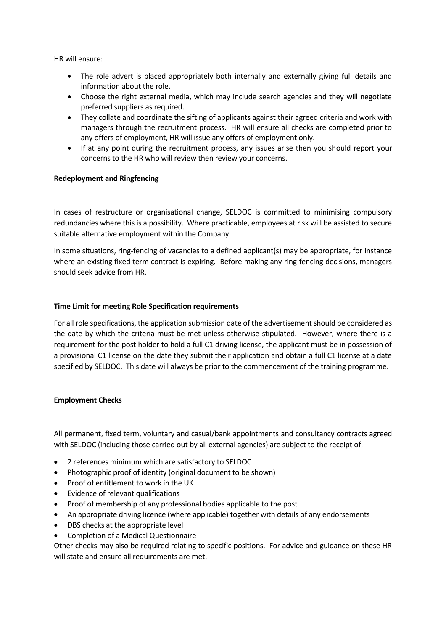HR will ensure:

- The role advert is placed appropriately both internally and externally giving full details and information about the role.
- Choose the right external media, which may include search agencies and they will negotiate preferred suppliers as required.
- They collate and coordinate the sifting of applicants against their agreed criteria and work with managers through the recruitment process. HR will ensure all checks are completed prior to any offers of employment, HR will issue any offers of employment only.
- If at any point during the recruitment process, any issues arise then you should report your concerns to the HR who will review then review your concerns.

#### **Redeployment and Ringfencing**

In cases of restructure or organisational change, SELDOC is committed to minimising compulsory redundancies where this is a possibility. Where practicable, employees at risk will be assisted to secure suitable alternative employment within the Company.

In some situations, ring-fencing of vacancies to a defined applicant(s) may be appropriate, for instance where an existing fixed term contract is expiring. Before making any ring-fencing decisions, managers should seek advice from HR.

#### **Time Limit for meeting Role Specification requirements**

For all role specifications, the application submission date of the advertisement should be considered as the date by which the criteria must be met unless otherwise stipulated. However, where there is a requirement for the post holder to hold a full C1 driving license, the applicant must be in possession of a provisional C1 license on the date they submit their application and obtain a full C1 license at a date specified by SELDOC. This date will always be prior to the commencement of the training programme.

#### **Employment Checks**

All permanent, fixed term, voluntary and casual/bank appointments and consultancy contracts agreed with SELDOC (including those carried out by all external agencies) are subject to the receipt of:

- 2 references minimum which are satisfactory to SELDOC
- Photographic proof of identity (original document to be shown)
- Proof of entitlement to work in the UK
- Evidence of relevant qualifications
- Proof of membership of any professional bodies applicable to the post
- An appropriate driving licence (where applicable) together with details of any endorsements
- DBS checks at the appropriate level
- Completion of a Medical Questionnaire

Other checks may also be required relating to specific positions. For advice and guidance on these HR will state and ensure all requirements are met.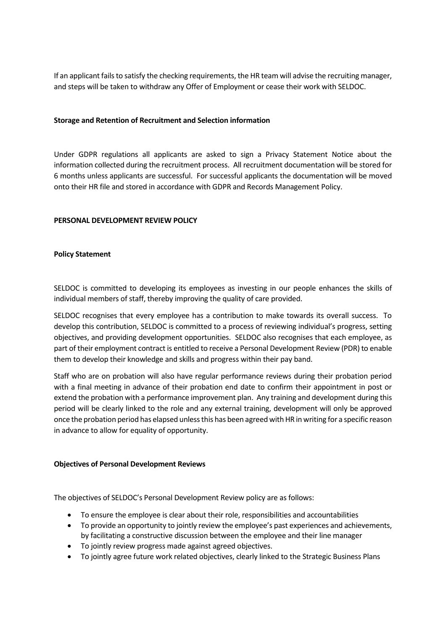If an applicant fails to satisfy the checking requirements, the HR team will advise the recruiting manager, and steps will be taken to withdraw any Offer of Employment or cease their work with SELDOC.

#### **Storage and Retention of Recruitment and Selection information**

Under GDPR regulations all applicants are asked to sign a Privacy Statement Notice about the information collected during the recruitment process. All recruitment documentation will be stored for 6 months unless applicants are successful. For successful applicants the documentation will be moved onto their HR file and stored in accordance with GDPR and Records Management Policy.

## **PERSONAL DEVELOPMENT REVIEW POLICY**

## **Policy Statement**

SELDOC is committed to developing its employees as investing in our people enhances the skills of individual members of staff, thereby improving the quality of care provided.

SELDOC recognises that every employee has a contribution to make towards its overall success. To develop this contribution, SELDOC is committed to a process of reviewing individual's progress, setting objectives, and providing development opportunities. SELDOC also recognises that each employee, as part of their employment contract is entitled to receive a Personal Development Review (PDR) to enable them to develop their knowledge and skills and progress within their pay band.

Staff who are on probation will also have regular performance reviews during their probation period with a final meeting in advance of their probation end date to confirm their appointment in post or extend the probation with a performance improvement plan. Any training and development during this period will be clearly linked to the role and any external training, development will only be approved once the probation period has elapsed unless this has been agreed with HR in writing for a specific reason in advance to allow for equality of opportunity.

#### **Objectives of Personal Development Reviews**

The objectives of SELDOC's Personal Development Review policy are as follows:

- To ensure the employee is clear about their role, responsibilities and accountabilities
- To provide an opportunity to jointly review the employee's past experiences and achievements, by facilitating a constructive discussion between the employee and their line manager
- To jointly review progress made against agreed objectives.
- To jointly agree future work related objectives, clearly linked to the Strategic Business Plans